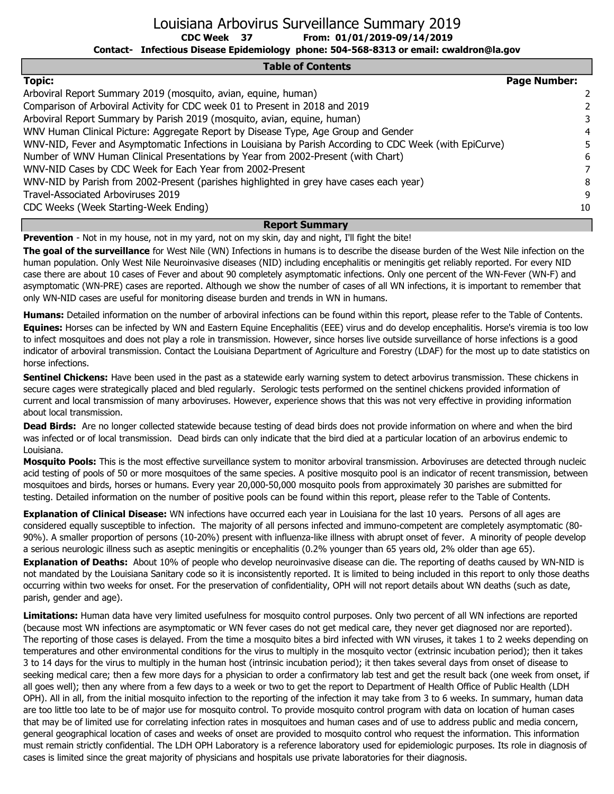Louisiana Arbovirus Surveillance Summary 2019

From: 01/01/2019-09/14/2019

Contact- Infectious Disease Epidemiology phone: 504-568-8313 or email: cwaldron@la.gov

#### Table of Contents

| <b>Topic:</b>                                                                                           | <b>Page Number:</b> |                |
|---------------------------------------------------------------------------------------------------------|---------------------|----------------|
| Arboviral Report Summary 2019 (mosquito, avian, equine, human)                                          |                     | $\overline{2}$ |
| Comparison of Arboviral Activity for CDC week 01 to Present in 2018 and 2019                            |                     |                |
| Arboviral Report Summary by Parish 2019 (mosquito, avian, equine, human)                                |                     | 3              |
| WNV Human Clinical Picture: Aggregate Report by Disease Type, Age Group and Gender                      |                     | 4              |
| WNV-NID, Fever and Asymptomatic Infections in Louisiana by Parish According to CDC Week (with EpiCurve) |                     |                |
| Number of WNV Human Clinical Presentations by Year from 2002-Present (with Chart)                       |                     | 6              |
| WNV-NID Cases by CDC Week for Each Year from 2002-Present                                               |                     | 7              |
| WNV-NID by Parish from 2002-Present (parishes highlighted in grey have cases each year)                 |                     | 8              |
| Travel-Associated Arboviruses 2019                                                                      |                     | 9              |
| CDC Weeks (Week Starting-Week Ending)                                                                   |                     | 10             |

### Report Summary

Prevention - Not in my house, not in my yard, not on my skin, day and night, I'll fight the bite!

CDC Week 37

The goal of the surveillance for West Nile (WN) Infections in humans is to describe the disease burden of the West Nile infection on the human population. Only West Nile Neuroinvasive diseases (NID) including encephalitis or meningitis get reliably reported. For every NID case there are about 10 cases of Fever and about 90 completely asymptomatic infections. Only one percent of the WN-Fever (WN-F) and asymptomatic (WN-PRE) cases are reported. Although we show the number of cases of all WN infections, it is important to remember that only WN-NID cases are useful for monitoring disease burden and trends in WN in humans.

Humans: Detailed information on the number of arboviral infections can be found within this report, please refer to the Table of Contents. Equines: Horses can be infected by WN and Eastern Equine Encephalitis (EEE) virus and do develop encephalitis. Horse's viremia is too low to infect mosquitoes and does not play a role in transmission. However, since horses live outside surveillance of horse infections is a good indicator of arboviral transmission. Contact the Louisiana Department of Agriculture and Forestry (LDAF) for the most up to date statistics on horse infections.

Sentinel Chickens: Have been used in the past as a statewide early warning system to detect arbovirus transmission. These chickens in secure cages were strategically placed and bled regularly. Serologic tests performed on the sentinel chickens provided information of current and local transmission of many arboviruses. However, experience shows that this was not very effective in providing information about local transmission.

Dead Birds: Are no longer collected statewide because testing of dead birds does not provide information on where and when the bird was infected or of local transmission. Dead birds can only indicate that the bird died at a particular location of an arbovirus endemic to Louisiana.

Mosquito Pools: This is the most effective surveillance system to monitor arboviral transmission. Arboviruses are detected through nucleic acid testing of pools of 50 or more mosquitoes of the same species. A positive mosquito pool is an indicator of recent transmission, between mosquitoes and birds, horses or humans. Every year 20,000-50,000 mosquito pools from approximately 30 parishes are submitted for testing. Detailed information on the number of positive pools can be found within this report, please refer to the Table of Contents.

Explanation of Clinical Disease: WN infections have occurred each year in Louisiana for the last 10 years. Persons of all ages are considered equally susceptible to infection. The majority of all persons infected and immuno-competent are completely asymptomatic (80- 90%). A smaller proportion of persons (10-20%) present with influenza-like illness with abrupt onset of fever. A minority of people develop a serious neurologic illness such as aseptic meningitis or encephalitis (0.2% younger than 65 years old, 2% older than age 65). Explanation of Deaths: About 10% of people who develop neuroinvasive disease can die. The reporting of deaths caused by WN-NID is not mandated by the Louisiana Sanitary code so it is inconsistently reported. It is limited to being included in this report to only those deaths occurring within two weeks for onset. For the preservation of confidentiality, OPH will not report details about WN deaths (such as date, parish, gender and age).

Limitations: Human data have very limited usefulness for mosquito control purposes. Only two percent of all WN infections are reported (because most WN infections are asymptomatic or WN fever cases do not get medical care, they never get diagnosed nor are reported). The reporting of those cases is delayed. From the time a mosquito bites a bird infected with WN viruses, it takes 1 to 2 weeks depending on temperatures and other environmental conditions for the virus to multiply in the mosquito vector (extrinsic incubation period); then it takes 3 to 14 days for the virus to multiply in the human host (intrinsic incubation period); it then takes several days from onset of disease to seeking medical care; then a few more days for a physician to order a confirmatory lab test and get the result back (one week from onset, if all goes well); then any where from a few days to a week or two to get the report to Department of Health Office of Public Health (LDH OPH). All in all, from the initial mosquito infection to the reporting of the infection it may take from 3 to 6 weeks. In summary, human data are too little too late to be of major use for mosquito control. To provide mosquito control program with data on location of human cases that may be of limited use for correlating infection rates in mosquitoes and human cases and of use to address public and media concern, general geographical location of cases and weeks of onset are provided to mosquito control who request the information. This information must remain strictly confidential. The LDH OPH Laboratory is a reference laboratory used for epidemiologic purposes. Its role in diagnosis of cases is limited since the great majority of physicians and hospitals use private laboratories for their diagnosis.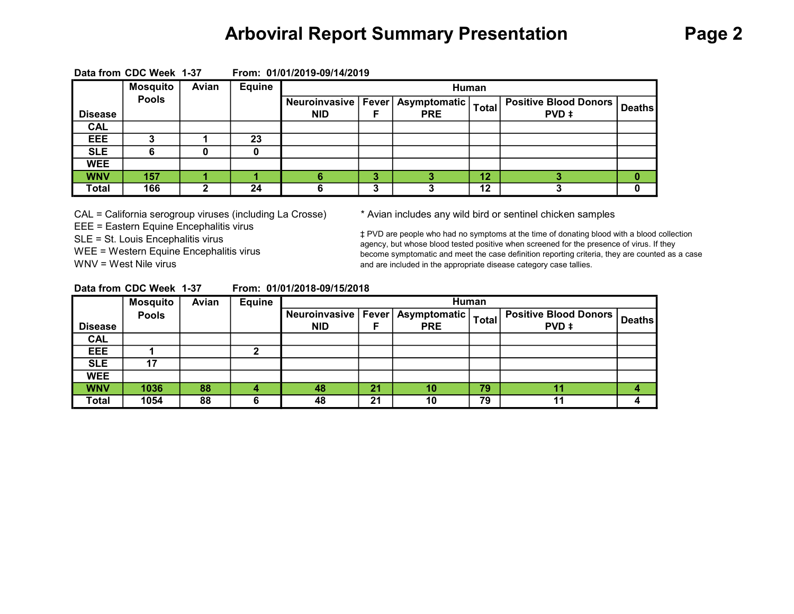## Arboviral Report Summary Presentation Page 2

|                | <b>Mosquito</b> | Avian | <b>Equine</b> |            |   |                                                      | Human        |                                         |               |
|----------------|-----------------|-------|---------------|------------|---|------------------------------------------------------|--------------|-----------------------------------------|---------------|
| <b>Disease</b> | <b>Pools</b>    |       |               | <b>NID</b> |   | Neuroinvasive   Fever   Asymptomatic  <br><b>PRE</b> | <b>Total</b> | <b>Positive Blood Donors  </b><br>PVD ‡ | <b>Deaths</b> |
| <b>CAL</b>     |                 |       |               |            |   |                                                      |              |                                         |               |
| EEE            |                 |       | 23            |            |   |                                                      |              |                                         |               |
| <b>SLE</b>     |                 |       |               |            |   |                                                      |              |                                         |               |
| <b>WEE</b>     |                 |       |               |            |   |                                                      |              |                                         |               |
| <b>WNV</b>     | 157             |       |               |            | 3 |                                                      | 12           |                                         |               |
| <b>Total</b>   | 166             |       | 24            |            | o |                                                      | 12           |                                         |               |

Data from CDC Week 1-37 From: 01/01/2019-09/14/2019

CAL = California serogroup viruses (including La Crosse) \* Avian includes any wild bird or sentinel chicken samples EEE = Eastern Equine Encephalitis virus SLE = St. Louis Encephalitis virus WEE = Western Equine Encephalitis virus WNV = West Nile virus

‡ PVD are people who had no symptoms at the time of donating blood with a blood collection agency, but whose blood tested positive when screened for the presence of virus. If they become symptomatic and meet the case definition reporting criteria, they are counted as a case and are included in the appropriate disease category case tallies.

| Data from CDC Week 1-37 |  | From: 01/01/2018-09/15/2018 |
|-------------------------|--|-----------------------------|
|                         |  |                             |

|                | <b>Mosquito</b> | Avian | <b>Equine</b> |                       |    |              | Human        |                              |               |
|----------------|-----------------|-------|---------------|-----------------------|----|--------------|--------------|------------------------------|---------------|
|                | <b>Pools</b>    |       |               | Neuroinvasive   Fever |    | Asymptomatic | <b>Total</b> | <b>Positive Blood Donors</b> | <b>Deaths</b> |
| <b>Disease</b> |                 |       |               | <b>NID</b>            |    | <b>PRE</b>   |              | PVD ‡                        |               |
| <b>CAL</b>     |                 |       |               |                       |    |              |              |                              |               |
| EEE            |                 |       |               |                       |    |              |              |                              |               |
| <b>SLE</b>     | 17              |       |               |                       |    |              |              |                              |               |
| <b>WEE</b>     |                 |       |               |                       |    |              |              |                              |               |
| <b>WNV</b>     | 1036            | 88    |               | 48                    | 21 | 10           | 79           |                              |               |
| Total          | 1054            | 88    | 6             | 48                    | 21 | 10           | 79           | 11                           |               |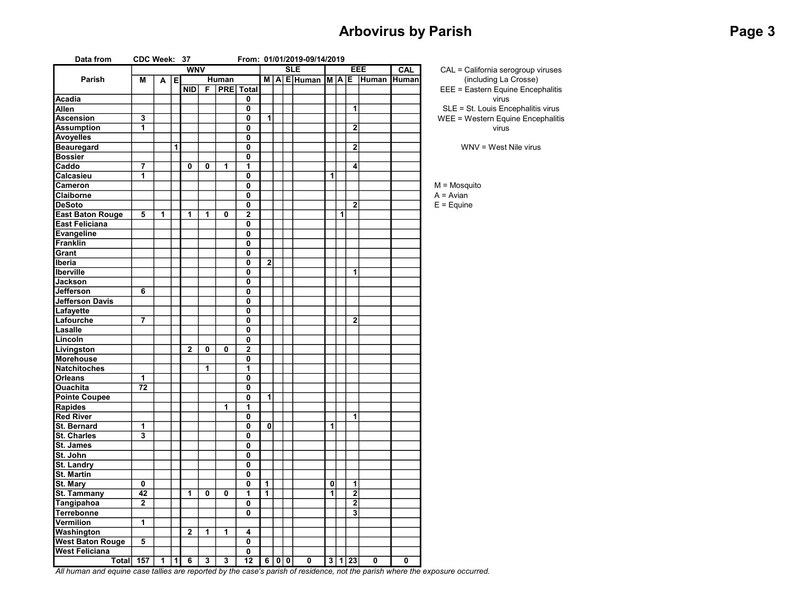## Arbovirus by Parish **Page 3** and 2011 11 and 2012 12:30 and 2012 12:30 and 2012 12:30 and 2012 12:30 and 2013 12:30

| Data from               | CDC Week: 37            |   |   |                |   |       |                         |                         |     | From: 01/01/2019-09/14/2019   |   |     |                |       |            |                    |
|-------------------------|-------------------------|---|---|----------------|---|-------|-------------------------|-------------------------|-----|-------------------------------|---|-----|----------------|-------|------------|--------------------|
|                         |                         |   |   | <b>WNV</b>     |   |       |                         |                         |     | <b>SLE</b>                    |   |     |                | EEE   | <b>CAL</b> | $CAL = C$          |
| Parish                  | М                       | A | E |                |   | Human |                         |                         |     | $M   A   E$ Human $M   A   E$ |   |     |                | Human | Human      | (i                 |
|                         |                         |   |   | <b>NID</b>     | F |       | <b>PRE</b> Total        |                         |     |                               |   |     |                |       |            | $EEE = E$          |
| <b>Acadia</b>           |                         |   |   |                |   |       | 0                       |                         |     |                               |   |     |                |       |            |                    |
| Allen                   |                         |   |   |                |   |       | 0                       |                         |     |                               |   |     | 1              |       |            | $SLE = S$          |
| <b>Ascension</b>        | 3                       |   |   |                |   |       | 0                       | 1                       |     |                               |   |     |                |       |            | $WEE = W$          |
| <b>Assumption</b>       | $\overline{\mathbf{1}}$ |   |   |                |   |       | 0                       |                         |     |                               |   |     | 2              |       |            |                    |
| <b>Avoyelles</b>        |                         |   |   |                |   |       | 0                       |                         |     |                               |   |     |                |       |            |                    |
| <b>Beauregard</b>       |                         |   | 1 |                |   |       | 0                       |                         |     |                               |   |     | $\mathbf 2$    |       |            | W                  |
| <b>Bossier</b>          |                         |   |   |                |   |       | 0                       |                         |     |                               |   |     |                |       |            |                    |
| Caddo                   | 7                       |   |   | 0              | 0 | 1     | 1                       |                         |     |                               |   |     | 4              |       |            |                    |
| Calcasieu               | $\overline{\mathbf{1}}$ |   |   |                |   |       | 0                       |                         |     |                               | 1 |     |                |       |            |                    |
| Cameron                 |                         |   |   |                |   |       | 0                       |                         |     |                               |   |     |                |       |            | $M = M$ osq        |
| Claiborne               |                         |   |   |                |   |       | 0                       |                         |     |                               |   |     |                |       |            | $A = Avian$        |
| <b>DeSoto</b>           |                         |   |   |                |   |       | 0                       |                         |     |                               |   |     | $\overline{2}$ |       |            | $E = \text{Equin}$ |
| <b>East Baton Rouge</b> | 5                       | 1 |   | $\overline{1}$ | 1 | 0     | $\overline{\mathbf{2}}$ |                         |     |                               |   | 1   |                |       |            |                    |
| <b>East Feliciana</b>   |                         |   |   |                |   |       | 0                       |                         |     |                               |   |     |                |       |            |                    |
| <b>Evangeline</b>       |                         |   |   |                |   |       | 0                       |                         |     |                               |   |     |                |       |            |                    |
| <b>Franklin</b>         |                         |   |   |                |   |       | 0                       |                         |     |                               |   |     |                |       |            |                    |
| Grant                   |                         |   |   |                |   |       | 0                       |                         |     |                               |   |     |                |       |            |                    |
| Iberia                  |                         |   |   |                |   |       | 0                       | $\overline{\mathbf{2}}$ |     |                               |   |     |                |       |            |                    |
| Iberville               |                         |   |   |                |   |       | $\mathbf 0$             |                         |     |                               |   |     | 1              |       |            |                    |
| <b>Jackson</b>          |                         |   |   |                |   |       | 0                       |                         |     |                               |   |     |                |       |            |                    |
| Jefferson               | 6                       |   |   |                |   |       | 0                       |                         |     |                               |   |     |                |       |            |                    |
| Jefferson Davis         |                         |   |   |                |   |       | 0                       |                         |     |                               |   |     |                |       |            |                    |
| Lafayette               |                         |   |   |                |   |       | 0                       |                         |     |                               |   |     |                |       |            |                    |
| Lafourche               | $\overline{7}$          |   |   |                |   |       | 0                       |                         |     |                               |   |     | $\mathbf 2$    |       |            |                    |
| Lasalle                 |                         |   |   |                |   |       | 0                       |                         |     |                               |   |     |                |       |            |                    |
| Lincoln                 |                         |   |   |                |   |       | 0                       |                         |     |                               |   |     |                |       |            |                    |
| Livingston              |                         |   |   | $\mathbf{2}$   | 0 | 0     | $\overline{2}$          |                         |     |                               |   |     |                |       |            |                    |
| Morehouse               |                         |   |   |                |   |       | 0                       |                         |     |                               |   |     |                |       |            |                    |
| <b>Natchitoches</b>     |                         |   |   |                | 1 |       | 1                       |                         |     |                               |   |     |                |       |            |                    |
| <b>Orleans</b>          | 1                       |   |   |                |   |       | 0                       |                         |     |                               |   |     |                |       |            |                    |
| <b>Ouachita</b>         | 72                      |   |   |                |   |       | 0                       |                         |     |                               |   |     |                |       |            |                    |
| <b>Pointe Coupee</b>    |                         |   |   |                |   |       | 0                       | $\overline{1}$          |     |                               |   |     |                |       |            |                    |
| <b>Rapides</b>          |                         |   |   |                |   | 1     | 1                       |                         |     |                               |   |     |                |       |            |                    |
| <b>Red River</b>        |                         |   |   |                |   |       | 0                       |                         |     |                               |   |     | 1              |       |            |                    |
| <b>St. Bernard</b>      | 1                       |   |   |                |   |       | $\overline{0}$          | $\overline{0}$          |     |                               | 1 |     |                |       |            |                    |
| St. Charles             | 3                       |   |   |                |   |       | 0                       |                         |     |                               |   |     |                |       |            |                    |
| St. James               |                         |   |   |                |   |       | 0                       |                         |     |                               |   |     |                |       |            |                    |
| St. John                |                         |   |   |                |   |       | 0                       |                         |     |                               |   |     |                |       |            |                    |
| <b>St. Landry</b>       |                         |   |   |                |   |       | 0                       |                         |     |                               |   |     |                |       |            |                    |
| <b>St. Martin</b>       |                         |   |   |                |   |       | 0                       |                         |     |                               |   |     |                |       |            |                    |
| St. Mary                | 0                       |   |   |                |   |       | 0                       | 1                       |     |                               | 0 |     | 1              |       |            |                    |
| St. Tammany             | 42                      |   |   | 1              | 0 | 0     | 1                       | 1                       |     |                               | 1 |     | $\overline{2}$ |       |            |                    |
| Tangipahoa              | $\overline{2}$          |   |   |                |   |       | 0                       |                         |     |                               |   |     | $\overline{2}$ |       |            |                    |
| <b>Terrebonne</b>       |                         |   |   |                |   |       | 0                       |                         |     |                               |   |     | 3              |       |            |                    |
| Vermilion               | 1                       |   |   |                |   |       |                         |                         |     |                               |   |     |                |       |            |                    |
| Washington              |                         |   |   | $\overline{2}$ | 1 | 1     | 4                       |                         |     |                               |   |     |                |       |            |                    |
| <b>West Baton Rouge</b> | 5                       |   |   |                |   |       | 0                       |                         |     |                               |   |     |                |       |            |                    |
| <b>West Feliciana</b>   |                         |   |   |                |   |       | 0                       |                         |     |                               |   |     |                |       |            |                    |
| Total                   | 157                     | 1 | 1 | 6              | 3 | 3     | 12                      | 6                       | 0 0 | 0                             |   | 3 1 | 23             | 0     | 0          |                    |
|                         |                         |   |   |                |   |       |                         |                         |     |                               |   |     |                |       |            |                    |

SLE = St. Louis Encephalitis virus WEE = Western Equine Encephalitis virus WNV = West Nile virus CAL = California serogroup viruses (including La Crosse) EEE = Eastern Equine Encephalitis virus

 $M = M$ osquito

 $E =$ Equine

All human and equine case tallies are reported by the case's parish of residence, not the parish where the exposure occurred.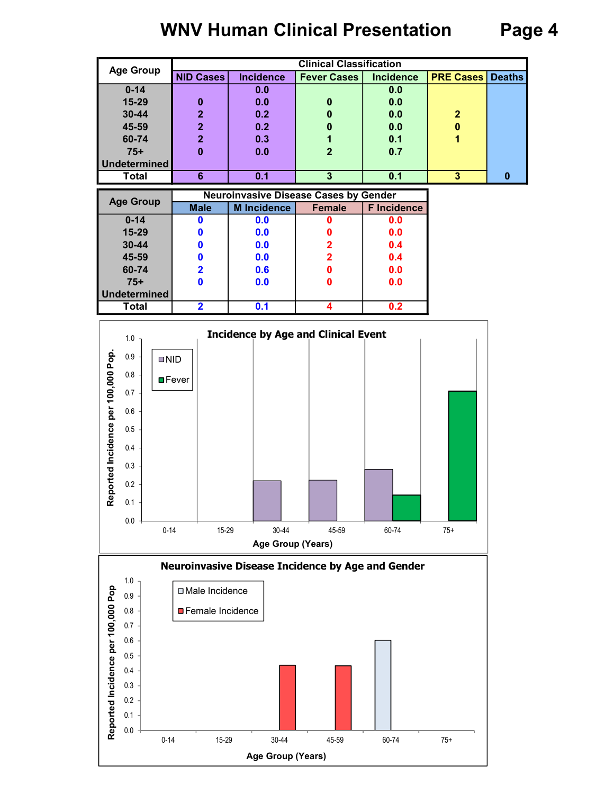# WNV Human Clinical Presentation Page 4

| <b>Age Group</b>    |                  |                  | <b>Clinical Classification</b> |                  |                         |   |
|---------------------|------------------|------------------|--------------------------------|------------------|-------------------------|---|
|                     | <b>NID Cases</b> | <b>Incidence</b> | <b>Fever Cases</b>             | <b>Incidence</b> | <b>PRE Cases Deaths</b> |   |
| $0 - 14$            |                  | 0.0              |                                | 0.0              |                         |   |
| 15-29               | 0                | 0.0              | 0                              | 0.0              |                         |   |
| 30-44               | $\mathbf 2$      | 0.2              | $\bf{0}$                       | 0.0              | $\mathbf{2}$            |   |
| 45-59               | $\mathbf 2$      | 0.2              | 0                              | 0.0              | 0                       |   |
| 60-74               | 2                | 0.3              |                                | 0.1              |                         |   |
| $75+$               |                  | 0.0              | $\overline{2}$                 | 0.7              |                         |   |
| <b>Undetermined</b> |                  |                  |                                |                  |                         |   |
| <b>Total</b>        | 6                | 0.1              | З                              | 0.1              | 3                       | 0 |

| <b>Age Group</b> |             | <b>Neuroinvasive Disease Cases by Gender</b> |               |                    |
|------------------|-------------|----------------------------------------------|---------------|--------------------|
|                  | <b>Male</b> | <b>M</b> Incidence                           | <b>Female</b> | <b>F</b> Incidence |
| $0 - 14$         |             | 0.0                                          |               | 0.0                |
| 15-29            |             | 0.0                                          |               | 0.0                |
| $30 - 44$        |             | 0.0                                          | 2             | 0.4                |
| 45-59            |             | 0.0                                          | 2             | 0.4                |
| 60-74            |             | 0.6                                          | 0             | 0.0                |
| $75+$            |             | 0.0                                          |               | 0.0                |
| Undetermined     |             |                                              |               |                    |
| <b>Total</b>     |             | 0.1                                          |               | 0.2                |



Age Group (Years)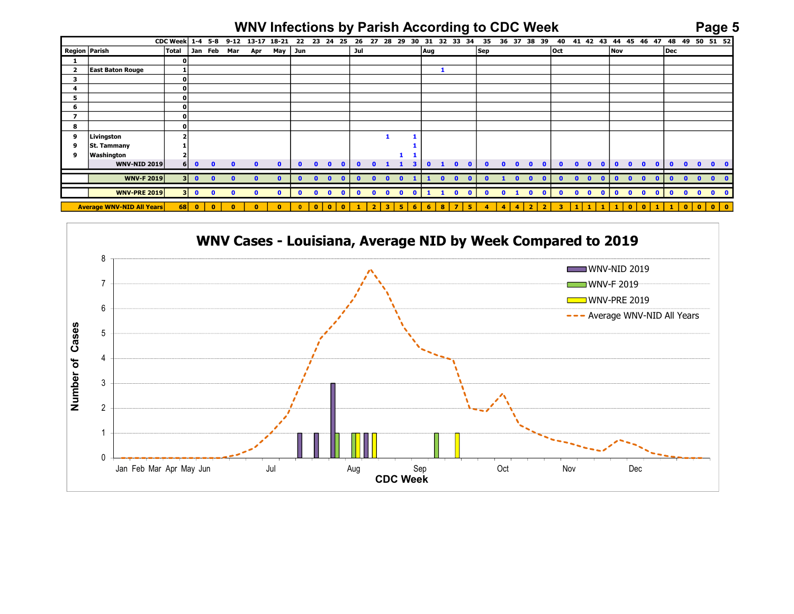## WNV Infections by Parish According to CDC Week Page 5

|                                         |                                   |              |              |              |              |              |              |              |              | CDC Week 1-4 5-8 9-12 13-17 18-21 22 23 24 25 26 27 28 29 30 31 32 33 34 35 36 37 38 39 40 41 42 43 44 45 46 47 48 49 50 51 52 |              |                              |            |          |              |                           |              |          |              | <b>WNV Infections by Parish According to CDC Week</b> |              |              |                          |                   |                              |              |              |                              | Page 5       |                           |
|-----------------------------------------|-----------------------------------|--------------|--------------|--------------|--------------|--------------|--------------|--------------|--------------|--------------------------------------------------------------------------------------------------------------------------------|--------------|------------------------------|------------|----------|--------------|---------------------------|--------------|----------|--------------|-------------------------------------------------------|--------------|--------------|--------------------------|-------------------|------------------------------|--------------|--------------|------------------------------|--------------|---------------------------|
| Region Parish                           |                                   | <b>Total</b> |              |              | Jan Feb Mar  | Apr          |              | May Jun      |              |                                                                                                                                | Jul          |                              |            |          | Aug          |                           |              | Sep      |              |                                                       |              | <b>Oct</b>   |                          | <b>Nov</b>        |                              |              | Dec          |                              |              |                           |
| $\mathbf{1}$<br>$\overline{\mathbf{2}}$ | <b>East Baton Rouge</b>           | n            |              |              |              |              |              |              |              |                                                                                                                                |              |                              |            |          |              | $\mathbf{1}$              |              |          |              |                                                       |              |              |                          |                   |                              |              |              |                              |              |                           |
| $\overline{\mathbf{3}}$                 |                                   | 0            |              |              |              |              |              |              |              |                                                                                                                                |              |                              |            |          |              |                           |              |          |              |                                                       |              |              |                          |                   |                              |              |              |                              |              |                           |
| $\overline{4}$                          |                                   | n            |              |              |              |              |              |              |              |                                                                                                                                |              |                              |            |          |              |                           |              |          |              |                                                       |              |              |                          |                   |                              |              |              |                              |              |                           |
| 5                                       |                                   | o            |              |              |              |              |              |              |              |                                                                                                                                |              |                              |            |          |              |                           |              |          |              |                                                       |              |              |                          |                   |                              |              |              |                              |              |                           |
| 6                                       |                                   | $\Omega$     |              |              |              |              |              |              |              |                                                                                                                                |              |                              |            |          |              |                           |              |          |              |                                                       |              |              |                          |                   |                              |              |              |                              |              |                           |
| $\overline{7}$                          |                                   | o            |              |              |              |              |              |              |              |                                                                                                                                |              |                              |            |          |              |                           |              |          |              |                                                       |              |              |                          |                   |                              |              |              |                              |              |                           |
| 8                                       |                                   |              |              |              |              |              |              |              |              |                                                                                                                                |              |                              |            |          |              |                           |              |          |              |                                                       |              |              |                          |                   |                              |              |              |                              |              |                           |
| 9                                       | Livingston                        |              |              |              |              |              |              |              |              |                                                                                                                                |              |                              |            |          |              |                           |              |          |              |                                                       |              |              |                          |                   |                              |              |              |                              |              |                           |
| 9                                       | St. Tammany                       |              |              |              |              |              |              |              |              |                                                                                                                                |              |                              |            |          |              |                           |              |          |              |                                                       |              |              |                          |                   |                              |              |              |                              |              |                           |
| 9                                       | Washington<br><b>WNV-NID 2019</b> | 6            | $\mathbf{0}$ | $\mathbf{r}$ |              |              |              |              |              | n                                                                                                                              | $\mathbf{a}$ | $\mathbf{r}$                 |            | 3        | $\mathbf{a}$ | $\mathbf{1}$<br>$\bullet$ | $\bullet$    |          |              |                                                       |              |              |                          | $\mathbf{a}$      | $\mathbf{a}$                 |              | $\mathbf{0}$ | $\bullet$<br>$\bullet$       |              | $\mathbf{0}$ $\mathbf{0}$ |
|                                         | <b>WNV-F 2019</b>                 |              | 300          | $\Omega$     | $\mathbf{a}$ | n            |              |              | n            | n                                                                                                                              | n            | n                            |            |          |              | n                         |              |          |              |                                                       |              |              | n<br>n                   |                   | $\mathbf{r}$                 |              | n            | $\mathbf{r}$<br>$\mathbf{r}$ | $\mathbf{0}$ |                           |
|                                         | <b>WNV-PRE 2019</b>               |              | 300          | $\mathbf{0}$ | $\Omega$     | $\mathbf{0}$ | $\mathbf{a}$ | $\mathbf{0}$ | $\mathbf{0}$ | $\mathbf{0}$<br>$\sqrt{ }$                                                                                                     | $\mathbf{a}$ | $\mathbf{a}$<br>$\mathbf{a}$ | $\sqrt{2}$ | $\Omega$ |              | $\mathbf{0}$              | $\mathbf{0}$ | $\Omega$ | $\mathbf{0}$ | $\sqrt{ }$                                            | $\mathbf{0}$ | $\mathbf{a}$ | $\mathbf{a}$<br>$\Omega$ | $\Omega$          | $\mathbf{0}$<br>$\mathbf{0}$ | $\mathbf{a}$ | $\bullet$    | $0\quad 0\quad 0$            |              |                           |
|                                         | <b>Average WNV-NID All Years</b>  |              | $68$ 0       | $\mathbf{0}$ |              | n            | n            |              | $\mathbf{0}$ | n<br>n                                                                                                                         |              |                              | 5          |          |              | 8                         | ×            |          |              |                                                       |              |              |                          |                   | n<br>$\Omega$                |              |              | $\bullet$<br>$\mathbf{0}$    | ∣ o          |                           |
|                                         |                                   |              |              |              |              |              |              |              |              |                                                                                                                                |              |                              |            |          |              |                           |              |          |              |                                                       |              |              |                          |                   |                              |              |              |                              |              |                           |
|                                         |                                   |              |              |              |              |              |              |              |              |                                                                                                                                |              |                              |            |          |              |                           |              |          |              |                                                       |              |              |                          |                   |                              |              |              |                              |              |                           |
|                                         |                                   |              |              |              |              |              |              |              |              | WNV Cases - Louisiana, Average NID by Week Compared to 2019                                                                    |              |                              |            |          |              |                           |              |          |              |                                                       |              |              |                          |                   |                              |              |              |                              |              |                           |
|                                         |                                   |              |              |              |              |              |              |              |              |                                                                                                                                |              |                              |            |          |              |                           |              |          |              |                                                       |              |              |                          |                   |                              |              |              |                              |              |                           |
|                                         | 8                                 |              |              |              |              |              |              |              |              |                                                                                                                                |              |                              |            |          |              |                           |              |          |              |                                                       |              |              |                          |                   |                              |              |              |                              |              |                           |
|                                         |                                   |              |              |              |              |              |              |              |              |                                                                                                                                |              |                              |            |          |              |                           |              |          |              |                                                       |              |              |                          |                   | WNV-NID 2019                 |              |              |                              |              |                           |
|                                         |                                   |              |              |              |              |              |              |              |              |                                                                                                                                |              |                              |            |          |              |                           |              |          |              |                                                       |              |              |                          | <b>WNV-F 2019</b> |                              |              |              |                              |              |                           |
|                                         |                                   |              |              |              |              |              |              |              |              |                                                                                                                                |              |                              |            |          |              |                           |              |          |              |                                                       |              |              |                          |                   |                              |              |              |                              |              |                           |
|                                         |                                   |              |              |              |              |              |              |              |              |                                                                                                                                |              |                              |            |          |              |                           |              |          |              |                                                       |              |              |                          | I WNV-PRF 2019    |                              |              |              |                              |              |                           |

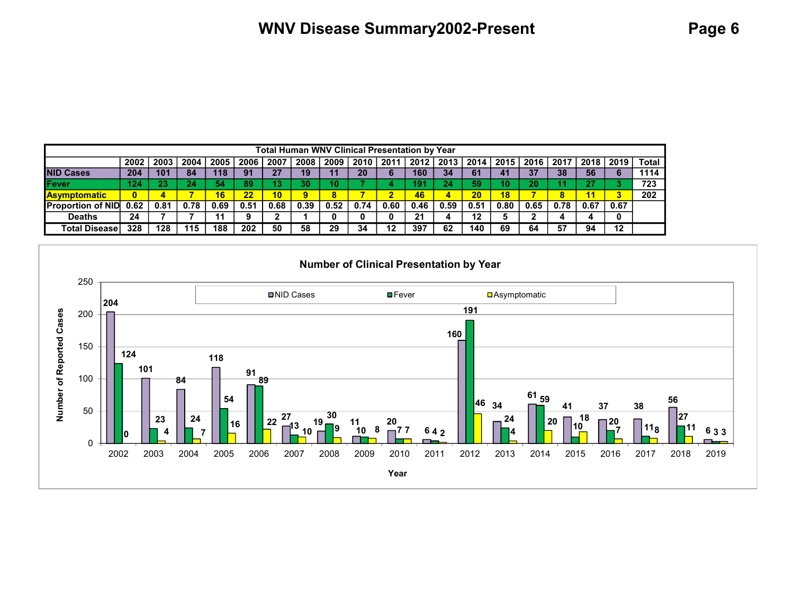|                           |      |      |      |      |      |                 | <b>Total Human WNV Clinical Presentation by Year</b> |      |      |      |      |      |      |      |      |      |      |      |              |
|---------------------------|------|------|------|------|------|-----------------|------------------------------------------------------|------|------|------|------|------|------|------|------|------|------|------|--------------|
|                           | 2002 | 2003 | 2004 | 2005 | 2006 | 2007            | 2008                                                 | 2009 | 2010 | 2011 | 2012 | 2013 | 2014 | 2015 | 2016 | 2017 | 2018 | 2019 | <b>Total</b> |
| <b>NID Cases</b>          | 204  | 101  | 84   | 118  | 91   | 27              | 19                                                   |      | 20   |      | 160  | 34   | 61   | 41   | 37   | 38   | 56   |      | 1114         |
| <b>IFever</b>             | 124  | 23   | 24   | 54   | 89   | 13              | 30 <sub>l</sub>                                      |      |      |      | 9    | 24   | 59   |      | 20   |      | 27   |      | 723          |
| <b>Asymptomatic</b>       | 0    |      |      | 16   | 22   | 10 <sub>1</sub> | 9                                                    |      |      |      | 46   | 4    | 20   | 18   |      | 8    | 11   |      | 202          |
| <b>IProportion of NID</b> | 0.62 | 0.81 | 0.78 | 0.69 | 0.51 | 0.68            | 0.39                                                 | 0.52 | 0.74 | 0.60 | 0.46 | 0.59 | 0.51 | 0.80 | 0.65 | 0.78 | 0.67 | 0.67 |              |
| <b>Deaths</b>             | 24   |      |      |      |      |                 |                                                      |      |      |      | 21   |      | 12   |      |      |      |      |      |              |
| Total Disease             | 328  | 128  | 115  | 188  | 202  | 50              | 58                                                   | 29   | 34   | 12   | 397  | 62   | 140  | 69   | 64   | 57   | 94   | 12   |              |

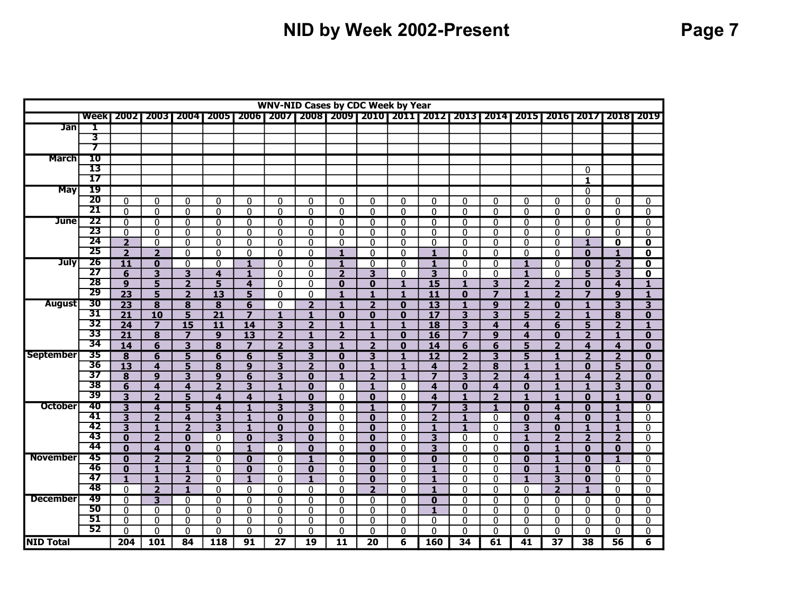# NID by Week 2002-Present Page 7

|                  |                 |                         |                         |                         |                         |                         |                         |                            |                | <b>WNV-NID Cases by CDC Week by Year</b> |                              |                                                                     |                              |                         |                |                              |                                         |                         |                          |
|------------------|-----------------|-------------------------|-------------------------|-------------------------|-------------------------|-------------------------|-------------------------|----------------------------|----------------|------------------------------------------|------------------------------|---------------------------------------------------------------------|------------------------------|-------------------------|----------------|------------------------------|-----------------------------------------|-------------------------|--------------------------|
|                  | <b>Week</b>     | 20021                   | 20031                   | 200412005               |                         |                         |                         |                            |                |                                          |                              | 2006   2007   2008   2009   2010   2011   2012   2013   2014   2015 |                              |                         |                | 2016   2017                  |                                         |                         | 201812019                |
| <b>Jan</b>       | Ι               |                         |                         |                         |                         |                         |                         |                            |                |                                          |                              |                                                                     |                              |                         |                |                              |                                         |                         |                          |
|                  | 3               |                         |                         |                         |                         |                         |                         |                            |                |                                          |                              |                                                                     |                              |                         |                |                              |                                         |                         |                          |
|                  | 7               |                         |                         |                         |                         |                         |                         |                            |                |                                          |                              |                                                                     |                              |                         |                |                              |                                         |                         |                          |
| <b>March</b>     | 10              |                         |                         |                         |                         |                         |                         |                            |                |                                          |                              |                                                                     |                              |                         |                |                              |                                         |                         |                          |
|                  | 13              |                         |                         |                         |                         |                         |                         |                            |                |                                          |                              |                                                                     |                              |                         |                |                              | 0                                       |                         |                          |
|                  | $\overline{17}$ |                         |                         |                         |                         |                         |                         |                            |                |                                          |                              |                                                                     |                              |                         |                |                              | $\mathbf{1}$                            |                         |                          |
| <b>May</b>       | 19              |                         |                         |                         |                         |                         |                         |                            |                |                                          |                              |                                                                     |                              |                         |                |                              | $\overline{0}$                          |                         |                          |
|                  | $\overline{20}$ | 0                       | 0                       | 0                       | 0                       | 0                       | 0                       | 0                          | 0              | 0                                        | 0                            | 0                                                                   | 0                            | 0                       | 0              | 0                            | 0                                       | 0                       | 0                        |
|                  | 21              | $\mathbf 0$             | $\Omega$                | $\mathbf{0}$            | $\mathbf{0}$            | $\overline{0}$          | 0                       | 0                          | $\mathbf{0}$   | $\mathbf{0}$                             | $\mathbf{0}$                 | 0                                                                   | $\mathbf{0}$                 | $\mathbf{0}$            | $\Omega$       | $\mathbf{0}$                 | 0                                       | 0                       | $\overline{0}$           |
| <b>June</b>      | 22              | $\overline{0}$          | $\overline{0}$          | $\overline{0}$          | $\overline{0}$          | $\overline{0}$          | $\overline{0}$          | $\overline{0}$             | $\overline{0}$ | $\overline{0}$                           | $\overline{0}$               | $\overline{0}$                                                      | $\overline{0}$               | $\overline{0}$          | $\Omega$       | $\overline{0}$               | $\overline{0}$                          | $\Omega$                | $\overline{0}$           |
|                  | 23              | $\mathbf{0}$            | 0                       | 0                       | 0                       | 0                       | 0                       | 0                          | 0              | 0                                        | $\mathbf{0}$                 | 0                                                                   | 0                            | 0                       | 0              | $\mathbf{0}$                 | 0                                       | 0                       | 0                        |
|                  | $\overline{24}$ | $\overline{2}$          | 0                       | 0                       | 0                       | $\mathbf{0}$            | 0                       | $\mathbf 0$                | $\mathbf{0}$   | 0                                        | 0                            | 0                                                                   | $\mathbf 0$                  | $\mathbf{0}$            | 0              | 0                            | $\mathbf{1}$                            | 0                       | 0                        |
|                  | 25              | $\overline{2}$          | $\overline{2}$          | $\Omega$                | $\Omega$                | $\Omega$                | $\Omega$                | $\Omega$                   | $\blacksquare$ | $\Omega$                                 | $\Omega$                     | $\blacksquare$                                                      | $\Omega$                     | $\Omega$                | $\Omega$       | $\Omega$                     | $\bf{0}$                                | 1                       | $\mathbf 0$              |
| <b>July</b>      | 26              | 11                      | 0                       | $\mathbf{0}$            | 0                       | $\mathbf{1}$            | 0                       | 0                          | 1              | 0                                        | 0                            | 1                                                                   | $\mathbf 0$                  | $\mathbf{0}$            | $\mathbf{1}$   | 0                            | 0                                       | $\overline{2}$          | 0                        |
|                  | 27              | 6                       | 3                       | 3                       | 4                       | $\mathbf{1}$            | 0                       | $\Omega$                   | $\overline{2}$ | 3                                        | 0                            | 3                                                                   | $\mathbf 0$                  | $\mathbf{0}$            | 1              | 0                            | 5                                       | 3                       | 0                        |
|                  | 28<br>29        | $\boldsymbol{9}$        | 5                       | $\overline{2}$          | 5                       | $\overline{\mathbf{4}}$ | $\Omega$                | $\Omega$                   | $\bf{0}$       | $\bf{0}$                                 | $\mathbf{1}$                 | $\overline{15}$                                                     | $\mathbf{1}$                 | 3                       | $\overline{2}$ | $\overline{2}$               | $\mathbf{0}$                            | $\overline{\mathbf{A}}$ | $\mathbf{1}$             |
|                  |                 | $\overline{23}$         | $\overline{5}$          | $\overline{\mathbf{2}}$ | $\overline{13}$         | $\overline{5}$          | $\overline{0}$          | $\mathbf 0$                | 1              | 1                                        | $\mathbf{1}$                 | $\overline{11}$                                                     | $\bf{0}$                     | $\overline{z}$          | 1              | $\overline{\mathbf{2}}$      | $\overline{\mathbf{z}}$                 | $\boldsymbol{9}$        | $\mathbf{1}$             |
| <b>August</b>    | 30              | $\overline{23}$         | 8                       | 8                       | 8                       | 6                       | 0                       | $\overline{2}$             | $\mathbf{1}$   | $\overline{2}$                           | $\bf{0}$                     | $\overline{13}$                                                     | 1                            | 9                       | $\overline{2}$ | $\bf{0}$                     | $\mathbf{1}$                            | 3                       | 3                        |
|                  | 31<br>32        | $\overline{21}$         | 10                      | 5                       | $\overline{21}$         | $\overline{7}$          | $\mathbf{1}$            | $\mathbf{1}$               | $\mathbf 0$    | $\bf{0}$                                 | $\bf{0}$                     | $\overline{17}$                                                     | 3                            | 3                       | 5              | $\overline{2}$               | $\mathbf{1}$                            | 8                       | $\overline{\mathbf{0}}$  |
|                  | 33              | $\overline{24}$         | $\overline{7}$          | $\overline{15}$         | 11                      | $\overline{14}$         | $\overline{\mathbf{3}}$ | $\overline{2}$             | $\mathbf{1}$   | $\mathbf{1}$                             | $\mathbf{1}$                 | $\overline{18}$                                                     | $\overline{\mathbf{3}}$      | 4                       | 4              | 6                            | $\overline{5}$                          | $\overline{2}$          | $\mathbf{1}$             |
|                  | 34              | $\overline{21}$         | 8                       | $\overline{\mathbf{z}}$ | 9                       | $\overline{13}$         | $\overline{2}$          | $\mathbf{1}$               | $\overline{2}$ | $\mathbf{1}$                             | $\bf{0}$                     | 16                                                                  | $\overline{z}$               | 9                       | 4              | $\bf{0}$                     | $\overline{2}$                          | 1                       | $\bf{0}$                 |
| <b>September</b> | 35              | 14                      | 6                       | 3                       | $\overline{\mathbf{8}}$ | $\overline{z}$          | $\overline{2}$          | 3                          | $\mathbf{1}$   | $\overline{2}$                           | $\bf{0}$                     | 14                                                                  | 6                            | 6                       | 5              | $\overline{2}$               | $\overline{\mathbf{4}}$                 | 4                       | $\mathbf{0}$             |
|                  | 36              | $\overline{\mathbf{8}}$ | $\overline{6}$          | 5                       | $6\overline{6}$         | $\overline{6}$          | 5                       | $\overline{\mathbf{3}}$    | $\bf{0}$       | 3<br>$\mathbf{1}$                        | $\overline{\mathbf{1}}$      | $\overline{12}$                                                     | $\overline{\mathbf{2}}$      | $\overline{\mathbf{3}}$ | 5              | $\overline{\mathbf{1}}$      | $\overline{\mathbf{2}}$                 | $\overline{2}$          | $\overline{\mathbf{0}}$  |
|                  | 37              | 13<br>8                 | 4<br>9                  | 5<br>3                  | 8<br>$\boldsymbol{9}$   | 9<br>6                  | 3<br>3                  | $\overline{2}$<br>$\bf{0}$ | $\bf{0}$<br>1  | $\overline{2}$                           | $\mathbf{1}$<br>$\mathbf{1}$ | 4<br>$\overline{z}$                                                 | $\overline{\mathbf{2}}$<br>3 | 8<br>$\overline{2}$     | 1<br>4         | $\mathbf{1}$<br>$\mathbf{1}$ | $\mathbf{0}$<br>$\overline{\mathbf{4}}$ | 5<br>$\overline{2}$     | $\mathbf{0}$<br>$\bf{0}$ |
|                  | 38              | $\overline{6}$          | 4                       | $\overline{\mathbf{4}}$ | $\overline{2}$          | 3                       | $\mathbf{1}$            | $\bf{0}$                   | $\mathbf{0}$   | $\mathbf{1}$                             | 0                            | 4                                                                   | $\bf{0}$                     | $\overline{4}$          | $\mathbf{0}$   | $\mathbf{1}$                 | $\mathbf{1}$                            | 3                       | $\mathbf{0}$             |
|                  | 39              | 3                       | $\overline{2}$          | 5                       | 4                       | 4                       | $\mathbf{1}$            | $\bf{0}$                   | $\mathbf{0}$   | $\bf{0}$                                 | $\mathbf{0}$                 | $\overline{\mathbf{4}}$                                             | 1                            | $\overline{2}$          | $\mathbf{1}$   | 1                            | $\mathbf{0}$                            | 1                       | $\mathbf{0}$             |
| <b>October</b>   | 40              | $\overline{3}$          | 4                       | 5                       | 4                       | $\mathbf{1}$            | 3                       | 3                          | $\mathbf{0}$   | $\mathbf{1}$                             | $\mathbf{0}$                 | $\overline{z}$                                                      | 3                            | $\mathbf{1}$            | $\bf{0}$       | 4                            | $\overline{0}$                          | 1                       | 0                        |
|                  | 41              | $\overline{\mathbf{3}}$ | $\overline{2}$          | $\overline{\mathbf{4}}$ | 3                       | $\mathbf{1}$            | $\bf{0}$                | $\bf{0}$                   | $\Omega$       | $\mathbf{0}$                             | $\Omega$                     | $\overline{2}$                                                      | $\blacksquare$               | $\Omega$                | $\mathbf{0}$   | $\overline{\mathbf{4}}$      | $\mathbf{0}$                            | 1                       | $\Omega$                 |
|                  | 42              | 3                       | 1                       | $\overline{\mathbf{2}}$ | 3                       | 1                       | $\bf{0}$                | $\bf{0}$                   | $\mathbf{0}$   | $\bf{0}$                                 | $\mathbf{0}$                 | 1                                                                   | 1                            | $\mathbf{0}$            | 3              | $\bf{0}$                     | 1                                       | 1                       | 0                        |
|                  | 43              | $\bf{0}$                | $\overline{2}$          | $\bf{0}$                | 0                       | $\bf{0}$                | 3                       | $\bf{0}$                   | 0              | $\bf{0}$                                 | 0                            | 3                                                                   | 0                            | $\mathbf{0}$            | 1              | $\overline{2}$               | $\overline{\mathbf{2}}$                 | $\overline{2}$          | 0                        |
|                  | 44              | $\Omega$                | $\overline{\mathbf{A}}$ | $\mathbf{0}$            | $\Omega$                | $\blacksquare$          | $\Omega$                | $\Omega$                   | $\Omega$       | $\mathbf{0}$                             | $\Omega$                     | $\overline{3}$                                                      | $\Omega$                     | $\Omega$                | $\mathbf{0}$   | $\blacksquare$               | $\mathbf{0}$                            | $\Omega$                | $\Omega$                 |
| <b>November</b>  | 45              | $\bf{0}$                | $\overline{2}$          | $\overline{2}$          | $\Omega$                | $\overline{\mathbf{0}}$ | 0                       | $\mathbf{1}$               | $\mathbf{0}$   | $\mathbf{0}$                             | $\mathbf{0}$                 | $\overline{\mathbf{0}}$                                             | $\mathbf 0$                  | $\mathbf{0}$            | $\bf{0}$       | 1                            | $\mathbf{0}$                            | 1                       | 0                        |
|                  | 46              | $\mathbf{0}$            | 1                       | 1                       | 0                       | $\bf{0}$                | 0                       | $\bf{0}$                   | $\mathbf{0}$   | $\bf{0}$                                 | 0                            | $\mathbf{1}$                                                        | $\boldsymbol{0}$             | $\mathbf{0}$            | $\bf{0}$       | 1                            | $\bf{0}$                                | $\Omega$                | 0                        |
|                  | 47              | $\mathbf{1}$            | 1                       | $\overline{2}$          | $\Omega$                | $\mathbf{1}$            | 0                       | $\mathbf{1}$               | $\mathbf{0}$   | $\bf{0}$                                 | $\mathbf{0}$                 | $\mathbf{1}$                                                        | $\mathbf{0}$                 | $\mathbf{0}$            | 1              | $\overline{\mathbf{3}}$      | $\mathbf{0}$                            | $\Omega$                | 0                        |
|                  | 48              | $\Omega$                | $\overline{2}$          | $\mathbf{1}$            | $\Omega$                | $\mathbf 0$             | 0                       | $\mathbf 0$                | $\mathbf 0$    | $\overline{2}$                           | 0                            | $\mathbf{1}$                                                        | $\mathbf 0$                  | $\mathbf{0}$            | $\Omega$       | $\overline{2}$               | $\blacksquare$                          | $\Omega$                | $\overline{0}$           |
| <b>December</b>  | 49              | $\Omega$                | $\overline{\mathbf{3}}$ | $\mathbf{0}$            | 0                       | $\overline{0}$          | 0                       | 0                          | $\mathbf{0}$   | 0                                        | $\overline{0}$               | $\overline{\mathbf{0}}$                                             | $\mathbf 0$                  | $\mathbf{0}$            | $\Omega$       | $\overline{0}$               | 0                                       | 0                       | $\overline{0}$           |
|                  | 50              | $\mathbf{0}$            | $\Omega$                | $\mathbf{0}$            | 0                       | $\mathbf{0}$            | 0                       | 0                          | $\mathbf{0}$   | 0                                        | $\mathbf{0}$                 | $\mathbf{1}$                                                        | $\mathbf 0$                  | $\mathbf{0}$            | $\mathbf{0}$   | $\mathbf{0}$                 | 0                                       | $\Omega$                | 0                        |
|                  | 51              | $\overline{0}$          | $\Omega$                | $\mathbf{0}$            | $\overline{0}$          | $\overline{0}$          | $\overline{0}$          | $\mathbf{0}$               | $\mathbf{0}$   | $\Omega$                                 | $\overline{0}$               | $\mathbf{0}$                                                        | $\overline{0}$               | $\mathbf{0}$            | $\Omega$       | $\overline{0}$               | $\overline{0}$                          | $\Omega$                | 0                        |
|                  | 52              | 0                       | $\Omega$                | $\mathbf{0}$            | $\Omega$                | 0                       | 0                       | 0                          | $\mathbf{0}$   | 0                                        | $\mathbf{0}$                 | 0                                                                   | $\mathbf 0$                  | $\mathbf{0}$            | $\Omega$       | $\mathbf{0}$                 | 0                                       | $\Omega$                | 0                        |
| <b>NID Total</b> |                 | 204                     | 101                     | 84                      | 118                     | 91                      | 27                      | 19                         | 11             | 20                                       | 6                            | 160                                                                 | 34                           | 61                      | 41             | $\overline{37}$              | 38                                      | 56                      | 6                        |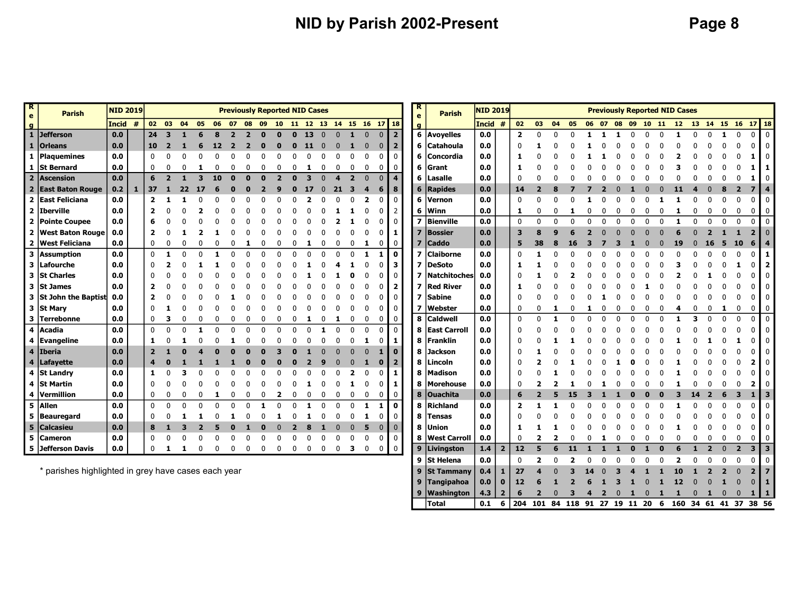## NID by Parish 2002-Present NID by Page 8

9 Tangipahoa 0.0 0 12 6 1 2 6 1 3 1 0 1 12 0 0 1 0 0 1 9 Washington 4.3 2 6 2 0 3 4 2 0 1 0 1 1 0 1 0 0 1 1 Total 0.1 6 204 101 84 118 91 27 19 11 20 6 160 34 61 41 37 38 56

| $\overline{\mathbf{R}}$<br>e | <b>Parish</b>                                  | <b>NID 2019</b> |              |              |          |            |    |    |       |    | <b>Previously Reported NID Cases</b> |                            |          |              |              |          |   |   |                |                | R.<br>$\mathbf{e}$      | <b>Parish</b>    | <b>NID 2019</b> |                |                |                |    |    |  |  |   | <b>Previously Reported NID Cases</b> |   |                         |              |                |                         |                         |
|------------------------------|------------------------------------------------|-----------------|--------------|--------------|----------|------------|----|----|-------|----|--------------------------------------|----------------------------|----------|--------------|--------------|----------|---|---|----------------|----------------|-------------------------|------------------|-----------------|----------------|----------------|----------------|----|----|--|--|---|--------------------------------------|---|-------------------------|--------------|----------------|-------------------------|-------------------------|
| $\overline{g}$               |                                                | Incid #         |              | 02           | 03       | 04         | 05 |    | 06 07 | 08 | 09                                   | 10 11 12 13 14 15 16 17 18 |          |              |              |          |   |   |                |                | $\mathbf{q}$            |                  | Incid #         |                | 02             | 03             | 04 | 05 |  |  |   | 06 07 08 09 10 11 12                 |   | 13 14 15 16             |              |                | $17$ 18                 |                         |
| $\mathbf{1}$                 | <b>Jefferson</b>                               | 0.0             |              | 24           | 3        |            |    |    |       |    |                                      |                            |          | 13           | $\Omega$     | $\Omega$ |   |   |                | $\overline{2}$ |                         | 6 Avoyelles      | 0.0             |                | $\overline{2}$ | $\Omega$       |    |    |  |  | n |                                      |   |                         |              | <sup>n</sup>   | $\Omega$                |                         |
| $1 \mid$                     | <b>Orleans</b>                                 | 0.0             |              | 10           |          |            |    |    |       |    |                                      |                            |          |              |              |          |   |   |                |                |                         | 6 Catahoula      | 0.0             |                |                |                |    |    |  |  |   |                                      |   |                         |              |                |                         |                         |
|                              | 1   Plaquemines                                | 0.0             |              | $\Omega$     |          |            |    |    |       |    |                                      |                            |          |              |              |          |   |   |                | <sup>0</sup>   |                         | 6 Concordia      | 0.0             |                |                |                |    |    |  |  |   |                                      |   |                         |              |                |                         |                         |
|                              | 1 St Bernard                                   | 0.0             |              | 0            |          |            |    |    |       |    |                                      |                            |          |              |              |          |   |   |                | o              |                         | 6 Grant          | 0.0             |                |                |                |    |    |  |  |   |                                      |   |                         |              |                |                         |                         |
|                              | 2 Ascension                                    | 0.0             |              | 6            |          |            |    | 10 |       |    |                                      |                            |          |              |              |          |   |   |                |                |                         | 6 Lasalle        | 0.0             |                |                |                |    |    |  |  |   |                                      |   |                         |              |                |                         |                         |
|                              | 2 East Baton Rouge                             | 0.2             | $\mathbf{1}$ | 37           |          |            |    |    |       |    |                                      |                            |          |              |              |          |   |   |                | 8              |                         | 6 Rapides        | 0.0             |                | 14             |                |    |    |  |  |   |                                      |   |                         |              |                |                         |                         |
|                              | 2 East Feliciana                               | 0.0             |              | 2            |          |            |    |    |       |    |                                      |                            |          |              |              |          |   |   |                | $\Omega$       |                         | 6 Vernon         | 0.0             |                | $\Omega$       |                |    |    |  |  |   |                                      |   |                         |              |                |                         |                         |
|                              | 2 Iberville                                    | 0.0             |              |              |          |            |    |    |       |    |                                      |                            |          |              |              |          |   |   |                |                |                         | 6 Winn           | 0.0             |                | 1              | ŋ              |    |    |  |  |   |                                      |   |                         |              |                |                         |                         |
|                              | 2 Pointe Coupee                                | 0.0             |              |              |          |            |    |    |       |    |                                      |                            |          |              |              |          |   |   |                |                | $\overline{\mathbf{z}}$ | Bienville        | 0.0             |                | $\Omega$       | $\Omega$       |    |    |  |  |   |                                      |   |                         |              |                |                         |                         |
|                              | 2   West Baton Rouge                           | 0.0             |              |              |          |            |    |    |       |    |                                      |                            |          |              |              |          |   |   |                | -1             |                         | 7 Bossier        | 0.0             |                | 3              | я              |    |    |  |  |   |                                      |   |                         |              |                |                         | $\Omega$                |
|                              | 2 West Feliciana                               | 0.0             |              | $\Omega$     |          |            |    |    |       |    |                                      |                            |          |              |              |          |   |   | 0              | 0              |                         | <b>Caddo</b>     | 0.0             |                | 5              | 38             |    |    |  |  |   | 19                                   |   | <b>16</b>               | 5            | 10             | 6                       |                         |
|                              | 3 Assumption                                   | 0.0             |              | $\mathbf{0}$ |          |            |    |    |       |    |                                      |                            |          |              |              |          |   |   |                | $\mathbf{0}$   | $\mathbf{z}$            | <b>Claiborne</b> | 0.0             |                |                |                |    |    |  |  |   |                                      |   |                         |              |                |                         |                         |
|                              | 3 Lafourche                                    | 0.0             |              |              |          |            |    |    |       |    |                                      |                            |          |              |              |          |   |   |                | 3              | $\mathbf{z}$            | <b>DeSoto</b>    | 0.0             |                |                |                |    |    |  |  |   |                                      |   |                         |              |                |                         |                         |
|                              | 3 St Charles                                   | 0.0             |              |              |          |            |    |    |       |    |                                      |                            |          |              |              |          |   |   |                |                | $\overline{\mathbf{z}}$ | Natchitoches 0.0 |                 |                |                |                |    |    |  |  |   |                                      |   |                         |              |                |                         |                         |
|                              | 3 St James                                     | 0.0             |              |              |          |            |    |    |       |    |                                      |                            |          |              |              |          |   |   |                | 2              | 7                       | <b>Red River</b> | 0.0             |                |                |                |    |    |  |  |   |                                      |   |                         |              |                |                         |                         |
|                              | 3 St John the Baptist                          | 0.0             |              |              |          |            |    |    |       |    |                                      |                            |          |              |              |          |   |   |                | $\mathbf{0}$   | $\overline{\mathbf{z}}$ | <b>Sabine</b>    | 0.0             |                |                |                |    |    |  |  |   |                                      |   |                         |              |                |                         |                         |
|                              | 3 St Mary                                      | 0.0             |              |              |          |            |    |    |       |    |                                      |                            |          |              |              |          |   |   |                | $\Omega$       | 7                       | Webster          | 0.0             |                | $\Omega$       |                |    |    |  |  |   |                                      |   |                         |              |                | 0                       | 0                       |
|                              | 3 Terrebonne                                   | 0.0             |              | 0            |          |            |    |    |       |    |                                      |                            |          |              |              |          |   |   |                | 0              |                         | 8 Caldwell       | 0.0             |                | $\Omega$       | <sup>0</sup>   | -1 |    |  |  |   |                                      | в |                         | $\Omega$     | n              |                         |                         |
| $\overline{\mathbf{4}}$      | Acadia                                         | 0.0             |              | $\mathbf{0}$ |          |            |    |    |       |    |                                      |                            |          |              |              |          |   |   | $\Omega$       | $\mathbf{0}$   |                         | 8 East Carroll   | 0.0             |                |                |                |    |    |  |  |   |                                      |   |                         |              |                |                         |                         |
|                              | 4 Evangeline                                   | 0.0             |              |              |          |            |    |    |       |    |                                      |                            |          |              |              |          |   |   |                |                |                         | 8 Franklin       | 0.0             |                |                |                |    |    |  |  |   |                                      |   |                         |              |                |                         |                         |
|                              | 4 Iberia                                       | 0.0             |              |              |          |            |    |    |       |    |                                      |                            |          |              |              |          |   |   |                | 0              |                         | 8 Jackson        | 0.0             |                |                |                |    |    |  |  |   |                                      |   |                         |              |                |                         | $\Omega$                |
|                              | 4   Lafayette                                  | 0.0             |              |              |          |            |    |    |       |    |                                      |                            |          |              |              |          |   |   |                | 2              |                         | 8 Lincoln        | 0.0             |                |                |                |    |    |  |  |   |                                      |   |                         |              |                |                         |                         |
|                              | 4 St Landry                                    | 0.0             |              | 1            |          |            |    |    |       |    |                                      |                            |          |              |              |          |   |   |                |                | 8                       | Madison          | 0.0             |                |                |                |    |    |  |  |   |                                      |   |                         |              |                |                         |                         |
|                              | 4 St Martin                                    | 0.0             |              | n            |          |            |    |    |       |    |                                      |                            |          |              |              |          |   |   |                |                |                         | 8 Morehouse      | 0.0             |                |                |                |    |    |  |  |   |                                      |   |                         |              |                |                         |                         |
|                              | 4  Vermillion                                  | 0.0             |              | 0            |          |            |    |    |       |    |                                      |                            |          |              |              |          |   |   | $\mathbf 0$    | 0              |                         | 8 Ouachita       | 0.0             |                | 6              | $\overline{2}$ |    |    |  |  |   |                                      |   |                         |              | з              |                         | -3                      |
|                              | 5 Allen                                        | 0.0             |              | $\mathbf{0}$ | $\Omega$ | $\sqrt{2}$ |    |    |       |    |                                      |                            |          |              | $\Omega$     | ŋ        |   |   |                | $\mathbf{0}$   |                         | 8 Richland       | 0.0             |                | 2              |                |    |    |  |  |   |                                      |   |                         |              |                |                         | $\mathbf{0}$            |
|                              | 5 Beauregard                                   | 0.0             |              | n            |          |            |    |    |       |    |                                      |                            |          |              |              |          |   |   |                | $\Omega$       |                         | 8 Tensas         | 0.0             |                |                |                |    |    |  |  |   |                                      |   |                         |              |                |                         |                         |
|                              | 5 Calcasieu                                    | 0.0             |              | 8            |          |            |    |    |       |    |                                      |                            |          |              |              |          |   |   |                | $\Omega$       | 8                       | <b>Union</b>     | 0.0             |                |                |                |    |    |  |  |   |                                      |   |                         |              |                |                         |                         |
| 5.                           | <b>Cameron</b>                                 | 0.0             |              | 0            |          |            |    |    |       |    |                                      |                            |          |              |              |          |   |   | $\Omega$       | 0              |                         | 8 West Carroll   | 0.0             |                |                |                |    |    |  |  |   |                                      |   |                         |              |                |                         |                         |
|                              | 5 Jefferson Davis                              | 0.0             |              | $\mathbf{0}$ | -1       |            |    |    |       |    |                                      | <sup>0</sup>               | $\Omega$ | $\mathbf{0}$ | $\mathbf{0}$ | 0        | 3 | 0 | $\overline{0}$ | 0              |                         | 9 Livingston     | 1.4             | $\overline{2}$ | 12             | 5              | 6  |    |  |  |   |                                      |   | $\overline{\mathbf{z}}$ | $\mathbf{0}$ | $\overline{2}$ | $\overline{\mathbf{3}}$ | $\overline{\mathbf{3}}$ |
|                              |                                                |                 |              |              |          |            |    |    |       |    |                                      |                            |          |              |              |          |   |   |                |                |                         | 9 St Helena      | 0.0             |                | $\mathbf{0}$   | 2              |    |    |  |  |   | 2                                    | 0 | 0                       | $\mathbf{0}$ | 0              | $\overline{0}$          | $\overline{0}$          |
|                              | وبالمستقط والملائط والمستطر والمتاسين والتلافي |                 |              |              |          |            |    |    |       |    |                                      |                            |          |              |              |          |   |   |                |                |                         |                  | $\sim$          |                |                |                |    |    |  |  |   |                                      |   |                         |              |                |                         |                         |

parishes highlighted in grey have cases each year  $\frac{3}{2}$  St Tammany | 0.4 | 1 | 27 4 0 3 14 0 3 4 1 1 10 1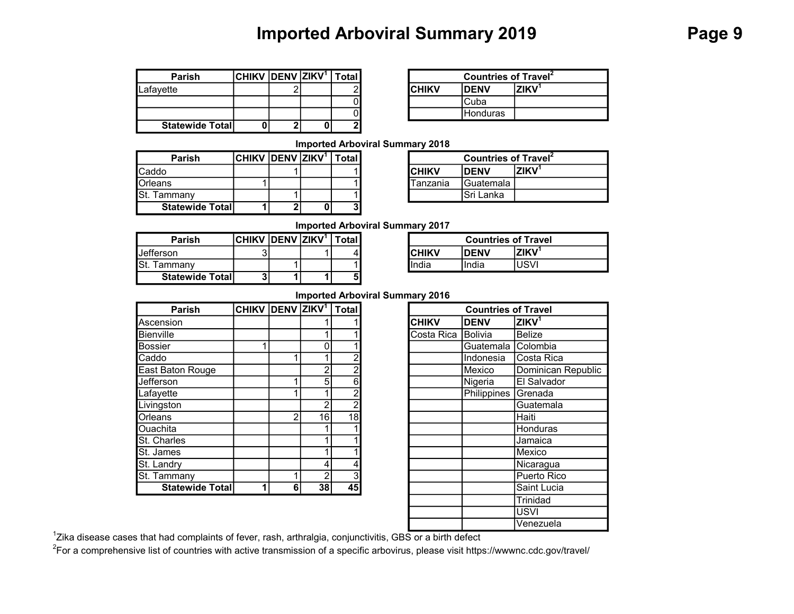# Imported Arboviral Summary 2019 **Page 9**

| <b>Parish</b>           | <b>CHIKV DENV ZIKV1</b> |  | <b>Total</b> |
|-------------------------|-------------------------|--|--------------|
| Lafayette               |                         |  |              |
|                         |                         |  |              |
|                         |                         |  |              |
| <b>Statewide Totall</b> |                         |  |              |

|        | lzıkv <sup>ı</sup> | otal l | <b>Countries of Travel</b> <sup>2</sup> |                 |             |  |
|--------|--------------------|--------|-----------------------------------------|-----------------|-------------|--|
| ົ<br>۷ |                    |        | <b>CHIKV</b>                            | <b>DENV</b>     | <b>7IKV</b> |  |
|        |                    |        |                                         | Cuba            |             |  |
|        |                    |        |                                         | <b>Honduras</b> |             |  |
|        |                    |        |                                         |                 |             |  |

Imported Arboviral Summary 2018

| <b>Parish</b>           | CHIKV  DENV  ZIKV <sup>1</sup> |   | Total. |          | <b>Countries of Travel</b> |             |
|-------------------------|--------------------------------|---|--------|----------|----------------------------|-------------|
| Caddo                   |                                |   |        | ICHIKV   | <b>IDENV</b>               | <b>ZIKV</b> |
| Orleans                 |                                |   |        | Tanzania | IGuatemala                 |             |
| St.<br>Tammany          |                                |   |        |          | Sri Lanka                  |             |
| <b>Statewide Totall</b> |                                | n | 31     |          |                            |             |

| /  DENV  ZIKV <sup>1</sup> | l Total I | <b>Countries of Travel</b> |                   |             |
|----------------------------|-----------|----------------------------|-------------------|-------------|
|                            |           | ICHIKV                     | <b>DENV</b>       | <b>ZIKV</b> |
|                            |           | Tanzania                   | <b>IGuatemala</b> |             |
|                            |           |                            | Sri Lanka         |             |

Imported Arboviral Summary 2017

| <b>Parish</b>           | $ CHIKV $ DENV $ ZIKV$ <sup>1</sup> |  | Total |               | <b>Countries of Tray</b> |              |
|-------------------------|-------------------------------------|--|-------|---------------|--------------------------|--------------|
| lJefferson.             |                                     |  |       | <b>ICHIKV</b> | <b>IDENV</b>             | <b>IZIKV</b> |
| Tammanv                 |                                     |  |       | lIndia        | India                    | JSVI         |
| <b>Statewide Totall</b> |                                     |  | 5     |               |                          |              |

|        | <b>Countries of Travel</b> |             |
|--------|----------------------------|-------------|
| ICHIKV | <b>IDENV</b>               | $7$ IK $V1$ |
| India  | India                      |             |

### Imported Arboviral Summary 2016

| Parish           | CHIKV DENV ZIKV <sup>1</sup> Total |   |                |    | <b>Countries of Travel</b>                              |
|------------------|------------------------------------|---|----------------|----|---------------------------------------------------------|
| Ascension        |                                    |   |                |    | <b>ZIKV</b> <sup>1</sup><br><b>CHIKV</b><br><b>DENV</b> |
| Bienville        |                                    |   |                |    | Costa Rica  Bolivia<br><b>Belize</b>                    |
| <b>Bossier</b>   |                                    |   | 0              |    | <b>C</b> olombia<br>Guatemala                           |
| Caddo            |                                    |   |                | n  | Costa Rica<br>Indonesia                                 |
| East Baton Rouge |                                    |   | $\overline{2}$ | າ  | Mexico<br>Dominican Republic                            |
| Jefferson        |                                    |   | 5              | 6  | Nigeria<br>El Salvador                                  |
| Lafayette        |                                    |   |                | ŋ  | Philippines<br>Grenada                                  |
| Livingston       |                                    |   | $\overline{2}$ | n  | Guatemala                                               |
| Orleans          |                                    |   | 16             | 18 | Haiti                                                   |
| Ouachita         |                                    |   |                |    | Honduras                                                |
| St. Charles      |                                    |   |                |    | Jamaica                                                 |
| St. James        |                                    |   |                |    | Mexico                                                  |
| St. Landry       |                                    |   | 4              |    | Nicaragua                                               |
| St. Tammany      |                                    |   | 2              | 3  | Puerto Rico                                             |
| Statewide Total  |                                    | 6 | 38             | 45 | Saint Lucia                                             |
|                  |                                    |   |                |    |                                                         |

|                         | DENV ZIKV <sup>1</sup>   Total |    |                 |              | <b>Countries of Travel</b> |                    |
|-------------------------|--------------------------------|----|-----------------|--------------|----------------------------|--------------------|
|                         |                                |    |                 | <b>CHIKV</b> | <b>DENV</b>                | ZIKV <sup>1</sup>  |
|                         |                                |    |                 | Costa Rica   | Bolivia                    | <b>Belize</b>      |
|                         |                                |    |                 |              | Guatemala                  | Colombia           |
|                         |                                |    |                 |              | Indonesia                  | Costa Rica         |
|                         |                                | 2  | 2               |              | Mexico                     | Dominican Republic |
|                         |                                | 5  | 6               |              | Nigeria                    | El Salvador        |
|                         |                                |    | 2               |              | Philippines                | Grenada            |
|                         |                                | 2  | 2               |              |                            | Guatemala          |
|                         | $\overline{2}$                 | 16 | $\overline{18}$ |              |                            | Haiti              |
|                         |                                |    |                 |              |                            | Honduras           |
|                         |                                |    |                 |              |                            | Jamaica            |
|                         |                                |    |                 |              |                            | Mexico             |
|                         |                                | 4  | 4               |              |                            | Nicaragua          |
|                         |                                | 2  | 3               |              |                            | Puerto Rico        |
| $\overline{\mathbf{1}}$ | 6                              | 38 | 45              |              |                            | Saint Lucia        |
|                         |                                |    |                 |              |                            | Trinidad           |
|                         |                                |    |                 |              |                            | <b>USVI</b>        |
|                         |                                |    |                 |              |                            | Venezuela          |

<sup>1</sup>Zika disease cases that had complaints of fever, rash, arthralgia, conjunctivitis, GBS or a birth defect

<sup>2</sup>For a comprehensive list of countries with active transmission of a specific arbovirus, please visit https://wwwnc.cdc.gov/travel/